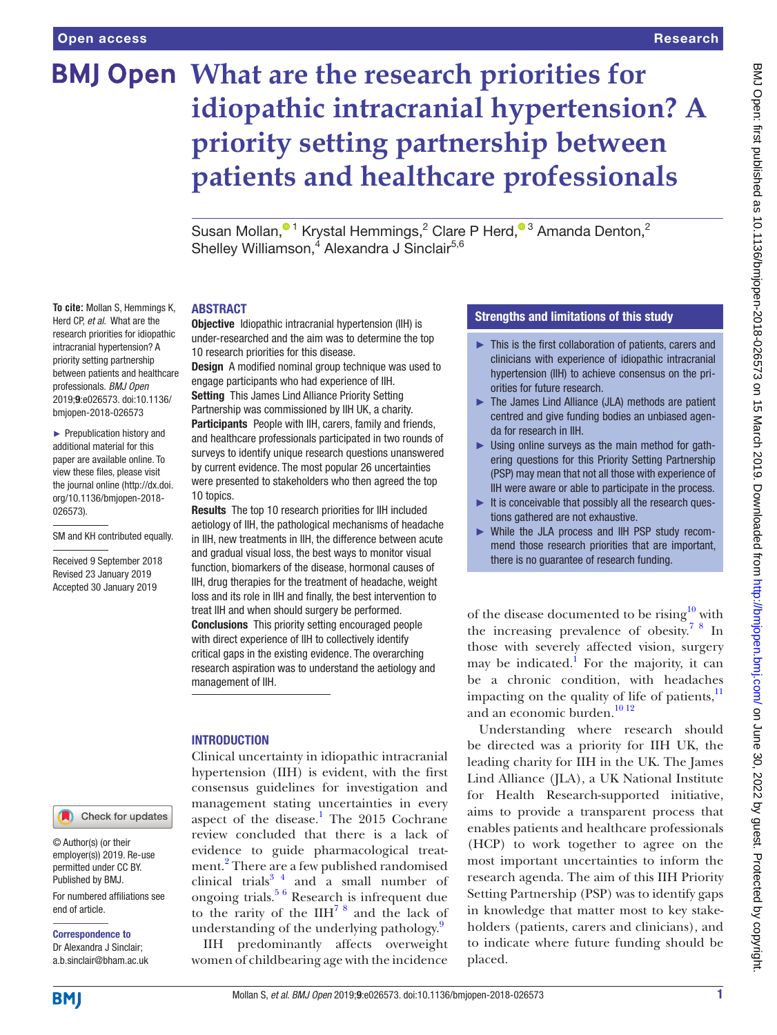# **BMJ Open What are the research priorities for idiopathic intracranial hypertension? A priority setting partnership between patients and healthcare professionals**

SusanMollan,<sup>01</sup> Krystal Hemmings,<sup>2</sup> Clare P Herd,<sup>03</sup> Amanda Denton,<sup>2</sup> Shelley Williamson,<sup>4</sup> Alexandra J Sinclair<sup>5,6</sup>

#### **ABSTRACT**

**To cite:** Mollan S, Hemmings K, Herd CP, *et al*. What are the research priorities for idiopathic intracranial hypertension? A priority setting partnership between patients and healthcare professionals. *BMJ Open* 2019;9:e026573. doi:10.1136/ bmjopen-2018-026573

► Prepublication history and additional material for this paper are available online. To view these files, please visit the journal online [\(http://dx.doi.](http://dx.doi.org/10.1136/bmjopen-2018-026573) [org/10.1136/bmjopen-2018-](http://dx.doi.org/10.1136/bmjopen-2018-026573) [026573\)](http://dx.doi.org/10.1136/bmjopen-2018-026573).

SM and KH contributed equally.

Received 9 September 2018 Revised 23 January 2019 Accepted 30 January 2019

Check for updates

© Author(s) (or their employer(s)) 2019. Re-use permitted under CC BY. Published by BMJ.

For numbered affiliations see end of article.

Correspondence to Dr Alexandra J Sinclair; a.b.sinclair@bham.ac.uk Objective Idiopathic intracranial hypertension (IIH) is under-researched and the aim was to determine the top 10 research priorities for this disease.

Design A modified nominal group technique was used to engage participants who had experience of IIH.

Setting This James Lind Alliance Priority Setting Partnership was commissioned by IIH UK, a charity. Participants People with IIH, carers, family and friends, and healthcare professionals participated in two rounds of surveys to identify unique research questions unanswered by current evidence. The most popular 26 uncertainties were presented to stakeholders who then agreed the top 10 topics.

Results The top 10 research priorities for IIH included aetiology of IIH, the pathological mechanisms of headache in IIH, new treatments in IIH, the difference between acute and gradual visual loss, the best ways to monitor visual function, biomarkers of the disease, hormonal causes of IIH, drug therapies for the treatment of headache, weight loss and its role in IIH and finally, the best intervention to treat IIH and when should surgery be performed. Conclusions This priority setting encouraged people with direct experience of IIH to collectively identify critical gaps in the existing evidence. The overarching research aspiration was to understand the aetiology and management of IIH.

#### **INTRODUCTION**

Clinical uncertainty in idiopathic intracranial hypertension (IIH) is evident, with the first consensus guidelines for investigation and management stating uncertainties in every aspect of the disease.<sup>[1](#page-4-0)</sup> The 2015 Cochrane review concluded that there is a lack of evidence to guide pharmacological treat-ment.<sup>[2](#page-4-1)</sup> There are a few published randomised clinical trials $3<sup>4</sup>$  and a small number of ongoing trials.<sup>5 6</sup> Research is infrequent due to the rarity of the  $I\text{IH}^{7}$ <sup>8</sup> and the lack of understanding of the underlying pathology.<sup>9</sup>

IIH predominantly affects overweight women of childbearing age with the incidence

#### Strengths and limitations of this study

- ► This is the first collaboration of patients, carers and clinicians with experience of idiopathic intracranial hypertension (IIH) to achieve consensus on the priorities for future research.
- ► The James Lind Alliance (JLA) methods are patient centred and give funding bodies an unbiased agenda for research in IIH.
- $\blacktriangleright$  Using online surveys as the main method for gathering questions for this Priority Setting Partnership (PSP) may mean that not all those with experience of IIH were aware or able to participate in the process.
- $\blacktriangleright$  It is conceivable that possibly all the research questions gathered are not exhaustive.
- ► While the JLA process and IIH PSP study recommend those research priorities that are important, there is no guarantee of research funding.

of the disease documented to be rising<sup>10</sup> with the increasing prevalence of obesity.[7 8](#page-4-4) In those with severely affected vision, surgery may be indicated.<sup>1</sup> For the majority, it can be a chronic condition, with headaches impacting on the quality of life of patients, $\frac{11}{11}$  $\frac{11}{11}$  $\frac{11}{11}$ and an economic burden.<sup>1012</sup>

Understanding where research should be directed was a priority for IIH UK, the leading charity for IIH in the UK. The James Lind Alliance (JLA), a UK National Institute for Health Research-supported initiative, aims to provide a transparent process that enables patients and healthcare professionals (HCP) to work together to agree on the most important uncertainties to inform the research agenda. The aim of this IIH Priority Setting Partnership (PSP) was to identify gaps in knowledge that matter most to key stakeholders (patients, carers and clinicians), and to indicate where future funding should be placed.

**BMI**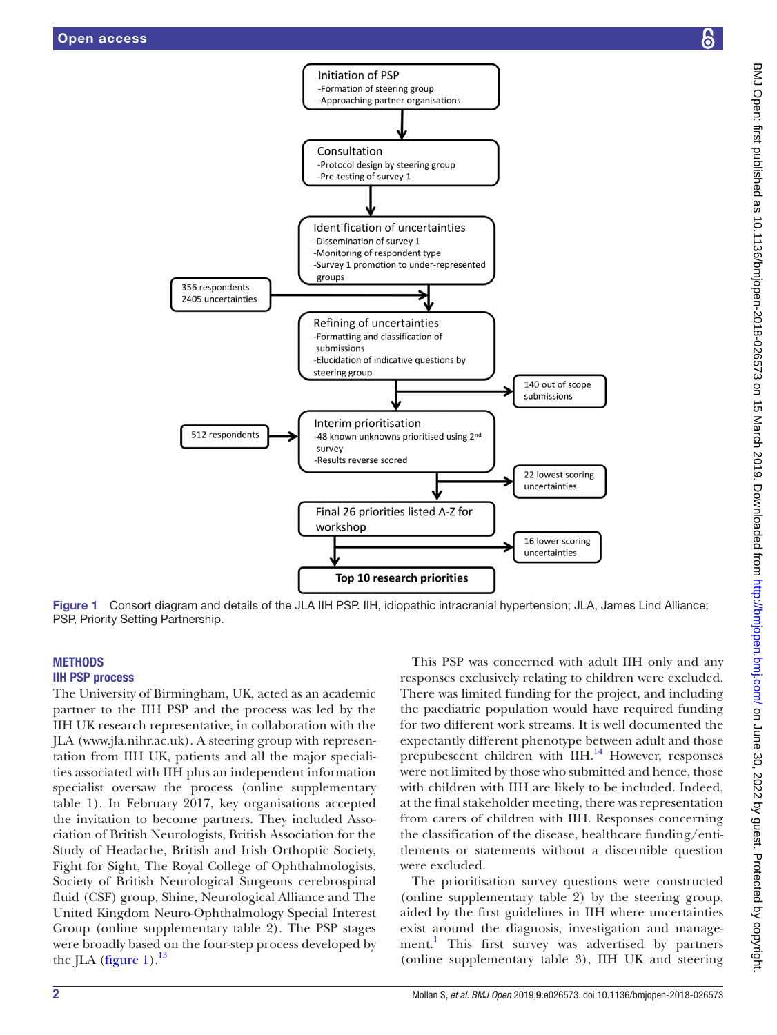

Figure 1 Consort diagram and details of the JLA IIH PSP. IIH, idiopathic intracranial hypertension; JLA, James Lind Alliance; PSP, Priority Setting Partnership.

#### **METHODS** IIH PSP process

The University of Birmingham, UK, acted as an academic partner to the IIH PSP and the process was led by the IIH UK research representative, in collaboration with the JLA ([www.jla.nihr.ac.uk](http://www.jla.nihr.ac.uk)). A steering group with representation from IIH UK, patients and all the major specialities associated with IIH plus an independent information specialist oversaw the process (online [supplementary](https://dx.doi.org/10.1136/bmjopen-2018-026573) [table 1\)](https://dx.doi.org/10.1136/bmjopen-2018-026573). In February 2017, key organisations accepted the invitation to become partners. They included Association of British Neurologists, British Association for the Study of Headache, British and Irish Orthoptic Society, Fight for Sight, The Royal College of Ophthalmologists, Society of British Neurological Surgeons cerebrospinal fluid (CSF) group, Shine, Neurological Alliance and The United Kingdom Neuro-Ophthalmology Special Interest Group (online [supplementary table 2](https://dx.doi.org/10.1136/bmjopen-2018-026573)). The PSP stages were broadly based on the four-step process developed by the JLA [\(figure](#page-1-0) 1). $^{13}$ 

<span id="page-1-0"></span>This PSP was concerned with adult IIH only and any responses exclusively relating to children were excluded. There was limited funding for the project, and including the paediatric population would have required funding for two different work streams. It is well documented the expectantly different phenotype between adult and those prepubescent children with IIH.<sup>14</sup> However, responses were not limited by those who submitted and hence, those with children with IIH are likely to be included. Indeed, at the final stakeholder meeting, there was representation from carers of children with IIH. Responses concerning the classification of the disease, healthcare funding/entitlements or statements without a discernible question were excluded.

The prioritisation survey questions were constructed (online [supplementary table 2](https://dx.doi.org/10.1136/bmjopen-2018-026573)) by the steering group, aided by the first guidelines in IIH where uncertainties exist around the diagnosis, investigation and management.<sup>1</sup> This first survey was advertised by partners (online [supplementary table 3](https://dx.doi.org/10.1136/bmjopen-2018-026573)), IIH UK and steering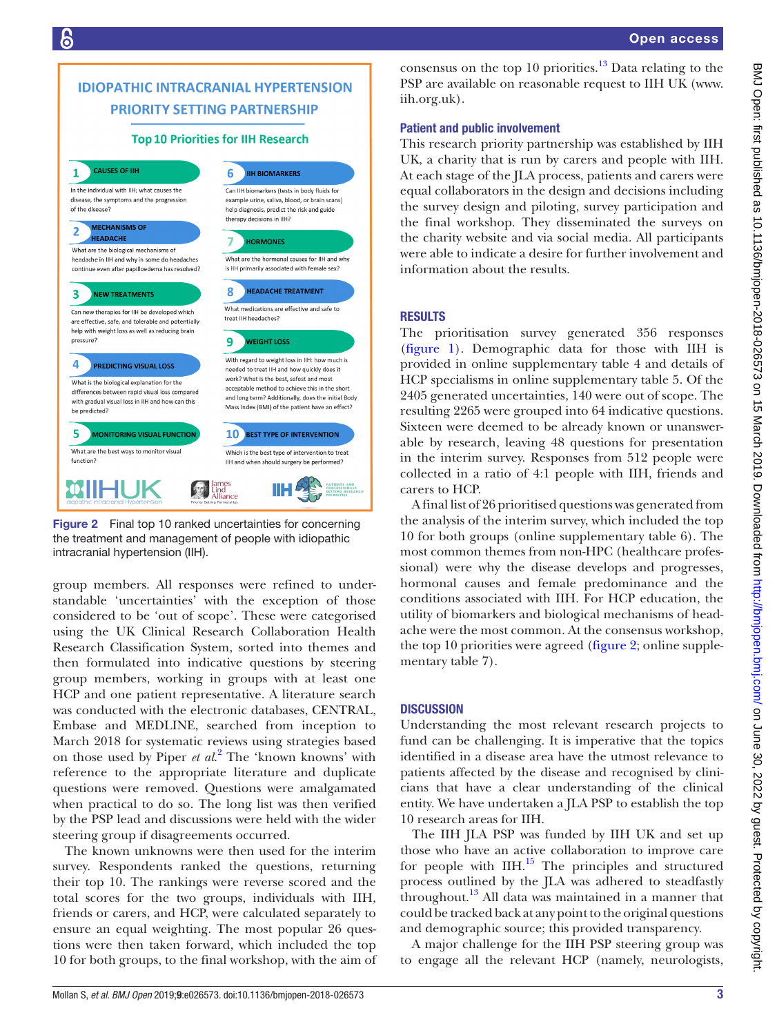## **IDIOPATHIC INTRACRANIAL HYPERTENSION PRIORITY SETTING PARTNERSHIP**

#### **Top 10 Priorities for IIH Research**



<span id="page-2-0"></span>Figure 2 Final top 10 ranked uncertainties for concerning the treatment and management of people with idiopathic intracranial hypertension (IIH).

group members. All responses were refined to understandable 'uncertainties' with the exception of those considered to be 'out of scope'. These were categorised using the UK Clinical Research Collaboration Health Research Classification System, sorted into themes and then formulated into indicative questions by steering group members, working in groups with at least one HCP and one patient representative. A literature search was conducted with the electronic databases, CENTRAL, Embase and MEDLINE, searched from inception to March 2018 for systematic reviews using strategies based on those used by Piper *et al*. [2](#page-4-1) The 'known knowns' with reference to the appropriate literature and duplicate questions were removed. Questions were amalgamated when practical to do so. The long list was then verified by the PSP lead and discussions were held with the wider steering group if disagreements occurred.

The known unknowns were then used for the interim survey. Respondents ranked the questions, returning their top 10. The rankings were reverse scored and the total scores for the two groups, individuals with IIH, friends or carers, and HCP, were calculated separately to ensure an equal weighting. The most popular 26 questions were then taken forward, which included the top 10 for both groups, to the final workshop, with the aim of

consensus on the top 10 priorities. $13$  Data relating to the PSP are available on reasonable request to IIH UK ([www.](http://www.iih.org.uk) [iih.org.uk](http://www.iih.org.uk)).

#### Patient and public involvement

This research priority partnership was established by IIH UK, a charity that is run by carers and people with IIH. At each stage of the JLA process, patients and carers were equal collaborators in the design and decisions including the survey design and piloting, survey participation and the final workshop. They disseminated the surveys on the charity website and via social media. All participants were able to indicate a desire for further involvement and information about the results.

#### **RESULTS**

The prioritisation survey generated 356 responses [\(figure](#page-1-0) 1). Demographic data for those with IIH is provided in online [supplementary table 4](https://dx.doi.org/10.1136/bmjopen-2018-026573) and details of HCP specialisms in online [supplementary table 5.](https://dx.doi.org/10.1136/bmjopen-2018-026573) Of the 2405 generated uncertainties, 140 were out of scope. The resulting 2265 were grouped into 64 indicative questions. Sixteen were deemed to be already known or unanswerable by research, leaving 48 questions for presentation in the interim survey. Responses from 512 people were collected in a ratio of 4:1 people with IIH, friends and carers to HCP.

A final list of 26 prioritised questions was generated from the analysis of the interim survey, which included the top 10 for both groups (online [supplementary table 6\)](https://dx.doi.org/10.1136/bmjopen-2018-026573). The most common themes from non-HPC (healthcare professional) were why the disease develops and progresses, hormonal causes and female predominance and the conditions associated with IIH. For HCP education, the utility of biomarkers and biological mechanisms of headache were the most common. At the consensus workshop, the top 10 priorities were agreed [\(figure](#page-2-0) 2; online [supple](https://dx.doi.org/10.1136/bmjopen-2018-026573)[mentary table 7\)](https://dx.doi.org/10.1136/bmjopen-2018-026573).

### **DISCUSSION**

Understanding the most relevant research projects to fund can be challenging. It is imperative that the topics identified in a disease area have the utmost relevance to patients affected by the disease and recognised by clinicians that have a clear understanding of the clinical entity. We have undertaken a JLA PSP to establish the top 10 research areas for IIH.

The IIH JLA PSP was funded by IIH UK and set up those who have an active collaboration to improve care for people with  $I\rightarrow I^{15}$  The principles and structured process outlined by the JLA was adhered to steadfastly throughout.<sup>13</sup> All data was maintained in a manner that could be tracked back at any point to the original questions and demographic source; this provided transparency.

A major challenge for the IIH PSP steering group was to engage all the relevant HCP (namely, neurologists,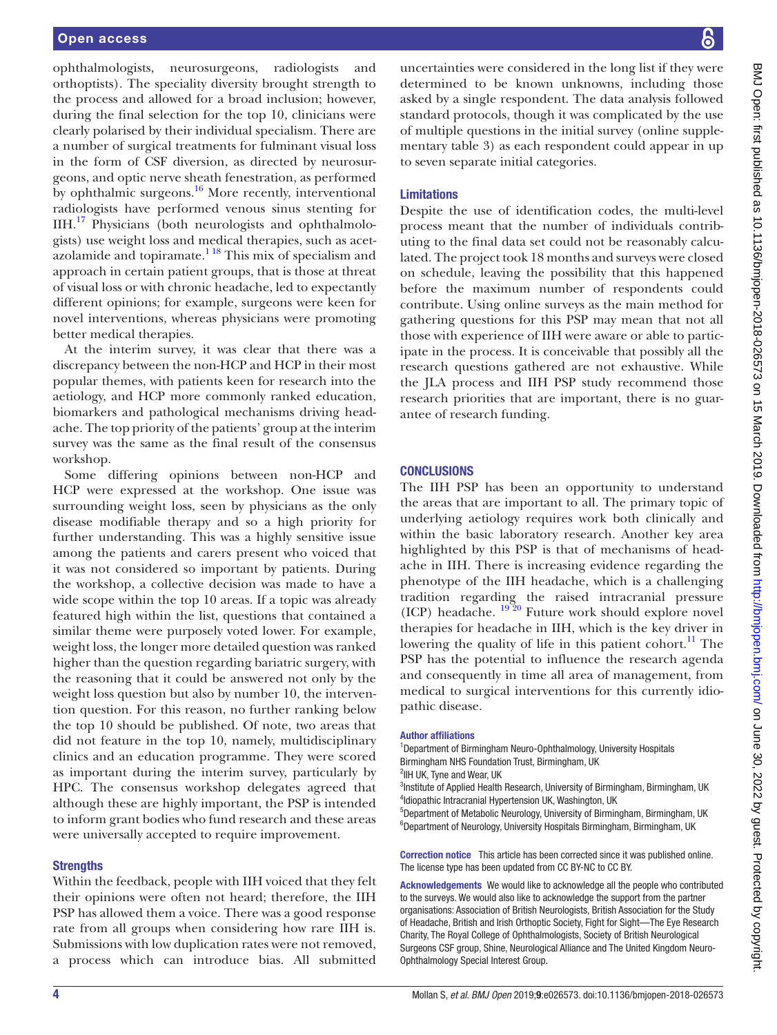ophthalmologists, neurosurgeons, radiologists and orthoptists). The speciality diversity brought strength to the process and allowed for a broad inclusion; however, during the final selection for the top 10, clinicians were clearly polarised by their individual specialism. There are a number of surgical treatments for fulminant visual loss in the form of CSF diversion, as directed by neurosurgeons, and optic nerve sheath fenestration, as performed by ophthalmic surgeons. $16$  More recently, interventional radiologists have performed venous sinus stenting for IIH.[17](#page-4-12) Physicians (both neurologists and ophthalmologists) use weight loss and medical therapies, such as acetazolamide and topiramate. $1^{18}$  This mix of specialism and approach in certain patient groups, that is those at threat of visual loss or with chronic headache, led to expectantly different opinions; for example, surgeons were keen for novel interventions, whereas physicians were promoting better medical therapies.

At the interim survey, it was clear that there was a discrepancy between the non-HCP and HCP in their most popular themes, with patients keen for research into the aetiology, and HCP more commonly ranked education, biomarkers and pathological mechanisms driving headache. The top priority of the patients' group at the interim survey was the same as the final result of the consensus workshop.

Some differing opinions between non-HCP and HCP were expressed at the workshop. One issue was surrounding weight loss, seen by physicians as the only disease modifiable therapy and so a high priority for further understanding. This was a highly sensitive issue among the patients and carers present who voiced that it was not considered so important by patients. During the workshop, a collective decision was made to have a wide scope within the top 10 areas. If a topic was already featured high within the list, questions that contained a similar theme were purposely voted lower. For example, weight loss, the longer more detailed question was ranked higher than the question regarding bariatric surgery, with the reasoning that it could be answered not only by the weight loss question but also by number 10, the intervention question. For this reason, no further ranking below the top 10 should be published. Of note, two areas that did not feature in the top 10, namely, multidisciplinary clinics and an education programme. They were scored as important during the interim survey, particularly by HPC. The consensus workshop delegates agreed that although these are highly important, the PSP is intended to inform grant bodies who fund research and these areas were universally accepted to require improvement.

#### **Strengths**

Within the feedback, people with IIH voiced that they felt their opinions were often not heard; therefore, the IIH PSP has allowed them a voice. There was a good response rate from all groups when considering how rare IIH is. Submissions with low duplication rates were not removed, a process which can introduce bias. All submitted uncertainties were considered in the long list if they were determined to be known unknowns, including those asked by a single respondent. The data analysis followed standard protocols, though it was complicated by the use of multiple questions in the initial survey (online [supple](https://dx.doi.org/10.1136/bmjopen-2018-026573)[mentary table 3](https://dx.doi.org/10.1136/bmjopen-2018-026573)) as each respondent could appear in up to seven separate initial categories.

#### Limitations

Despite the use of identification codes, the multi-level process meant that the number of individuals contributing to the final data set could not be reasonably calculated. The project took 18 months and surveys were closed on schedule, leaving the possibility that this happened before the maximum number of respondents could contribute. Using online surveys as the main method for gathering questions for this PSP may mean that not all those with experience of IIH were aware or able to participate in the process. It is conceivable that possibly all the research questions gathered are not exhaustive. While the JLA process and IIH PSP study recommend those research priorities that are important, there is no guarantee of research funding.

#### **CONCLUSIONS**

The IIH PSP has been an opportunity to understand the areas that are important to all. The primary topic of underlying aetiology requires work both clinically and within the basic laboratory research. Another key area highlighted by this PSP is that of mechanisms of headache in IIH. There is increasing evidence regarding the phenotype of the IIH headache, which is a challenging tradition regarding the raised intracranial pressure (ICP) headache.  $19\overline{20}$  Future work should explore novel therapies for headache in IIH, which is the key driver in lowering the quality of life in this patient cohort.<sup>11</sup> The PSP has the potential to influence the research agenda and consequently in time all area of management, from medical to surgical interventions for this currently idiopathic disease.

#### Author affiliations

<sup>1</sup>Department of Birmingham Neuro-Ophthalmology, University Hospitals Birmingham NHS Foundation Trust, Birmingham, UK

<sup>2</sup>IIH UK, Tyne and Wear, UK

<sup>3</sup>Institute of Applied Health Research, University of Birmingham, Birmingham, UK 4 Idiopathic Intracranial Hypertension UK, Washington, UK

5 Department of Metabolic Neurology, University of Birmingham, Birmingham, UK <sup>6</sup>Department of Neurology, University Hospitals Birmingham, Birmingham, UK

Correction notice This article has been corrected since it was published online. The license type has been updated from CC BY-NC to CC BY.

Acknowledgements We would like to acknowledge all the people who contributed to the surveys. We would also like to acknowledge the support from the partner organisations: Association of British Neurologists, British Association for the Study of Headache, British and Irish Orthoptic Society, Fight for Sight—The Eye Research Charity, The Royal College of Ophthalmologists, Society of British Neurological Surgeons CSF group, Shine, Neurological Alliance and The United Kingdom Neuro-Ophthalmology Special Interest Group.